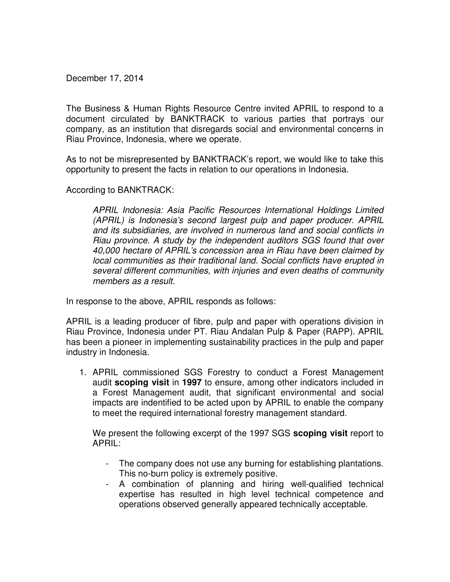December 17, 2014

The Business & Human Rights Resource Centre invited APRIL to respond to a document circulated by BANKTRACK to various parties that portrays our company, as an institution that disregards social and environmental concerns in Riau Province, Indonesia, where we operate.

As to not be misrepresented by BANKTRACK's report, we would like to take this opportunity to present the facts in relation to our operations in Indonesia.

According to BANKTRACK:

APRIL Indonesia: Asia Pacific Resources International Holdings Limited (APRIL) is Indonesia's second largest pulp and paper producer. APRIL and its subsidiaries, are involved in numerous land and social conflicts in Riau province. A study by the independent auditors SGS found that over 40,000 hectare of APRIL's concession area in Riau have been claimed by local communities as their traditional land. Social conflicts have erupted in several different communities, with injuries and even deaths of community members as a result.

In response to the above, APRIL responds as follows:

APRIL is a leading producer of fibre, pulp and paper with operations division in Riau Province, Indonesia under PT. Riau Andalan Pulp & Paper (RAPP). APRIL has been a pioneer in implementing sustainability practices in the pulp and paper industry in Indonesia.

1. APRIL commissioned SGS Forestry to conduct a Forest Management audit **scoping visit** in **1997** to ensure, among other indicators included in a Forest Management audit, that significant environmental and social impacts are indentified to be acted upon by APRIL to enable the company to meet the required international forestry management standard.

We present the following excerpt of the 1997 SGS **scoping visit** report to APRIL:

- The company does not use any burning for establishing plantations. This no-burn policy is extremely positive.
- A combination of planning and hiring well-qualified technical expertise has resulted in high level technical competence and operations observed generally appeared technically acceptable.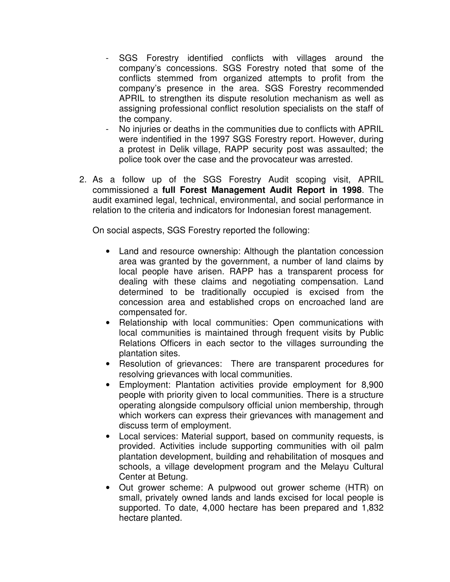- SGS Forestry identified conflicts with villages around the company's concessions. SGS Forestry noted that some of the conflicts stemmed from organized attempts to profit from the company's presence in the area. SGS Forestry recommended APRIL to strengthen its dispute resolution mechanism as well as assigning professional conflict resolution specialists on the staff of the company.
- No injuries or deaths in the communities due to conflicts with APRIL were indentified in the 1997 SGS Forestry report. However, during a protest in Delik village, RAPP security post was assaulted; the police took over the case and the provocateur was arrested.
- 2. As a follow up of the SGS Forestry Audit scoping visit, APRIL commissioned a **full Forest Management Audit Report in 1998**. The audit examined legal, technical, environmental, and social performance in relation to the criteria and indicators for Indonesian forest management.

On social aspects, SGS Forestry reported the following:

- Land and resource ownership: Although the plantation concession area was granted by the government, a number of land claims by local people have arisen. RAPP has a transparent process for dealing with these claims and negotiating compensation. Land determined to be traditionally occupied is excised from the concession area and established crops on encroached land are compensated for.
- Relationship with local communities: Open communications with local communities is maintained through frequent visits by Public Relations Officers in each sector to the villages surrounding the plantation sites.
- Resolution of grievances: There are transparent procedures for resolving grievances with local communities.
- Employment: Plantation activities provide employment for 8,900 people with priority given to local communities. There is a structure operating alongside compulsory official union membership, through which workers can express their grievances with management and discuss term of employment.
- Local services: Material support, based on community requests, is provided. Activities include supporting communities with oil palm plantation development, building and rehabilitation of mosques and schools, a village development program and the Melayu Cultural Center at Betung.
- Out grower scheme: A pulpwood out grower scheme (HTR) on small, privately owned lands and lands excised for local people is supported. To date, 4,000 hectare has been prepared and 1,832 hectare planted.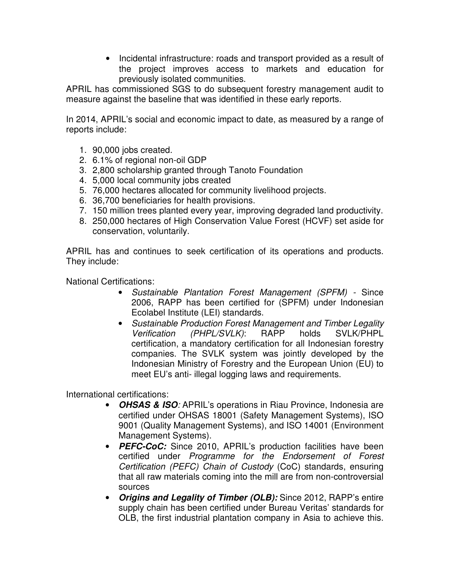• Incidental infrastructure: roads and transport provided as a result of the project improves access to markets and education for previously isolated communities.

APRIL has commissioned SGS to do subsequent forestry management audit to measure against the baseline that was identified in these early reports.

In 2014, APRIL's social and economic impact to date, as measured by a range of reports include:

- 1. 90,000 jobs created.
- 2. 6.1% of regional non-oil GDP
- 3. 2,800 scholarship granted through Tanoto Foundation
- 4. 5,000 local community jobs created
- 5. 76,000 hectares allocated for community livelihood projects.
- 6. 36,700 beneficiaries for health provisions.
- 7. 150 million trees planted every year, improving degraded land productivity.
- 8. 250,000 hectares of High Conservation Value Forest (HCVF) set aside for conservation, voluntarily.

APRIL has and continues to seek certification of its operations and products. They include:

National Certifications:

- Sustainable Plantation Forest Management (SPFM) Since 2006, RAPP has been certified for (SPFM) under Indonesian Ecolabel Institute (LEI) standards.
- Sustainable Production Forest Management and Timber Legality Verification (PHPL/SVLK): RAPP holds SVLK/PHPL certification, a mandatory certification for all Indonesian forestry companies. The SVLK system was jointly developed by the Indonesian Ministry of Forestry and the European Union (EU) to meet EU's anti- illegal logging laws and requirements.

International certifications:

- **OHSAS & ISO**: APRIL's operations in Riau Province, Indonesia are certified under OHSAS 18001 (Safety Management Systems), ISO 9001 (Quality Management Systems), and ISO 14001 (Environment Management Systems).
- **PEFC-CoC:** Since 2010, APRIL's production facilities have been certified under Programme for the Endorsement of Forest Certification (PEFC) Chain of Custody (CoC) standards, ensuring that all raw materials coming into the mill are from non-controversial sources
- **Origins and Legality of Timber (OLB):** Since 2012, RAPP's entire supply chain has been certified under Bureau Veritas' standards for OLB, the first industrial plantation company in Asia to achieve this.